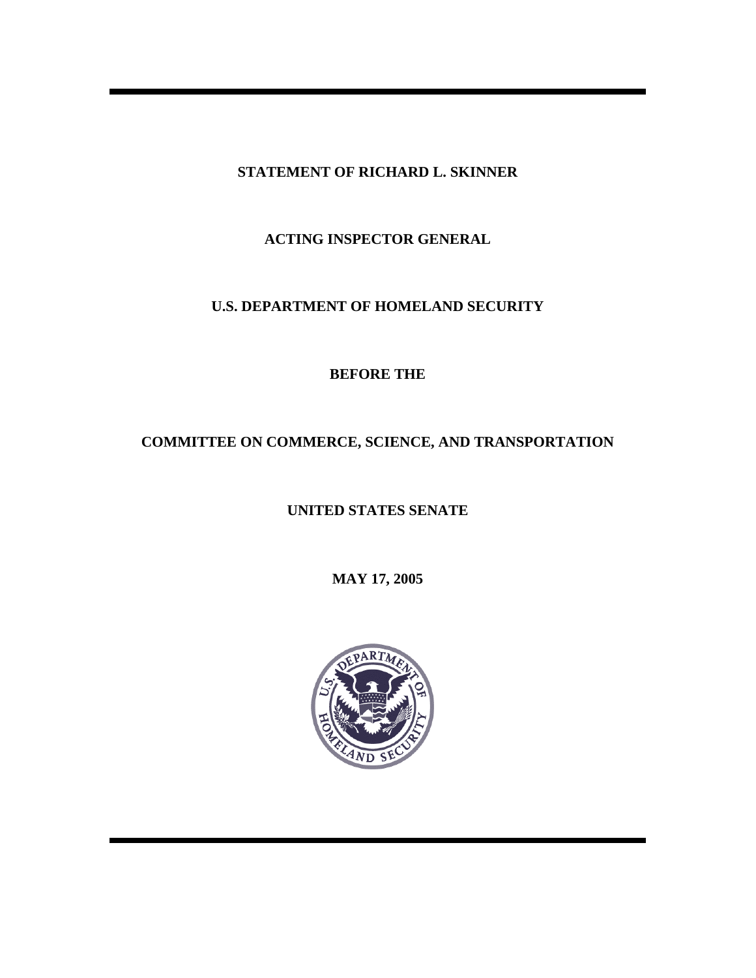**STATEMENT OF RICHARD L. SKINNER** 

**ACTING INSPECTOR GENERAL** 

## **U.S. DEPARTMENT OF HOMELAND SECURITY**

**BEFORE THE** 

# **COMMITTEE ON COMMERCE, SCIENCE, AND TRANSPORTATION**

## **UNITED STATES SENATE**

**MAY 17, 2005**

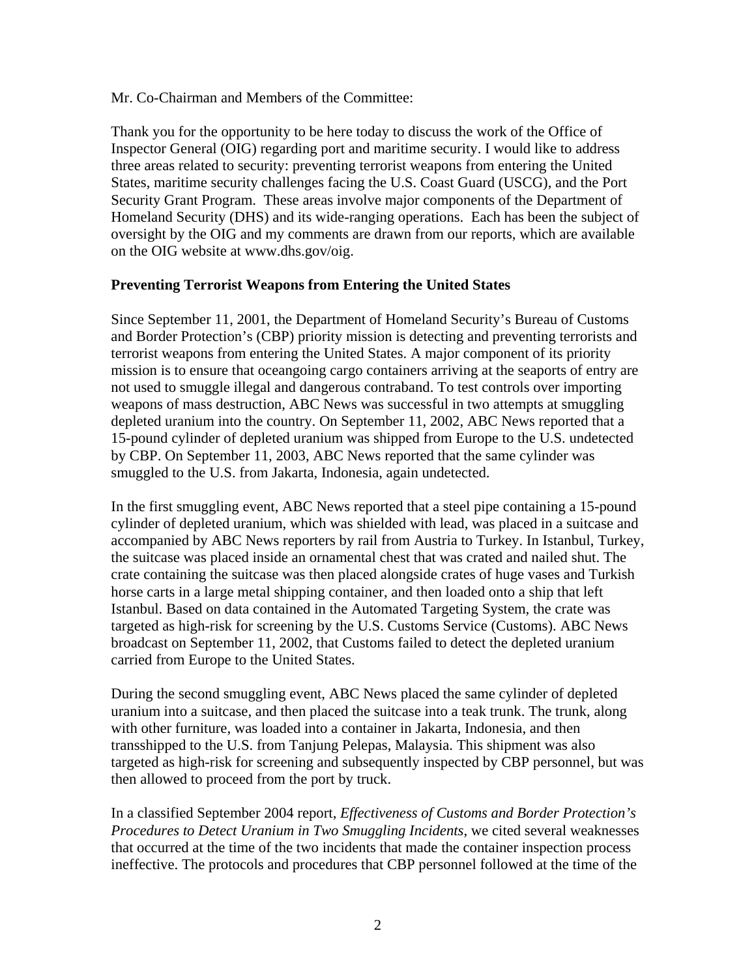Mr. Co-Chairman and Members of the Committee:

Thank you for the opportunity to be here today to discuss the work of the Office of Inspector General (OIG) regarding port and maritime security. I would like to address three areas related to security: preventing terrorist weapons from entering the United States, maritime security challenges facing the U.S. Coast Guard (USCG), and the Port Security Grant Program. These areas involve major components of the Department of Homeland Security (DHS) and its wide-ranging operations. Each has been the subject of oversight by the OIG and my comments are drawn from our reports, which are available on the OIG website at www.dhs.gov/oig.

#### **Preventing Terrorist Weapons from Entering the United States**

Since September 11, 2001, the Department of Homeland Security's Bureau of Customs and Border Protection's (CBP) priority mission is detecting and preventing terrorists and terrorist weapons from entering the United States. A major component of its priority mission is to ensure that oceangoing cargo containers arriving at the seaports of entry are not used to smuggle illegal and dangerous contraband. To test controls over importing weapons of mass destruction, ABC News was successful in two attempts at smuggling depleted uranium into the country. On September 11, 2002, ABC News reported that a 15-pound cylinder of depleted uranium was shipped from Europe to the U.S. undetected by CBP. On September 11, 2003, ABC News reported that the same cylinder was smuggled to the U.S. from Jakarta, Indonesia, again undetected.

In the first smuggling event, ABC News reported that a steel pipe containing a 15-pound cylinder of depleted uranium, which was shielded with lead, was placed in a suitcase and accompanied by ABC News reporters by rail from Austria to Turkey. In Istanbul, Turkey, the suitcase was placed inside an ornamental chest that was crated and nailed shut. The crate containing the suitcase was then placed alongside crates of huge vases and Turkish horse carts in a large metal shipping container, and then loaded onto a ship that left Istanbul. Based on data contained in the Automated Targeting System, the crate was targeted as high-risk for screening by the U.S. Customs Service (Customs). ABC News broadcast on September 11, 2002, that Customs failed to detect the depleted uranium carried from Europe to the United States.

During the second smuggling event, ABC News placed the same cylinder of depleted uranium into a suitcase, and then placed the suitcase into a teak trunk. The trunk, along with other furniture, was loaded into a container in Jakarta, Indonesia, and then transshipped to the U.S. from Tanjung Pelepas, Malaysia. This shipment was also targeted as high-risk for screening and subsequently inspected by CBP personnel, but was then allowed to proceed from the port by truck.

In a classified September 2004 report, *Effectiveness of Customs and Border Protection's Procedures to Detect Uranium in Two Smuggling Incidents*, we cited several weaknesses that occurred at the time of the two incidents that made the container inspection process ineffective. The protocols and procedures that CBP personnel followed at the time of the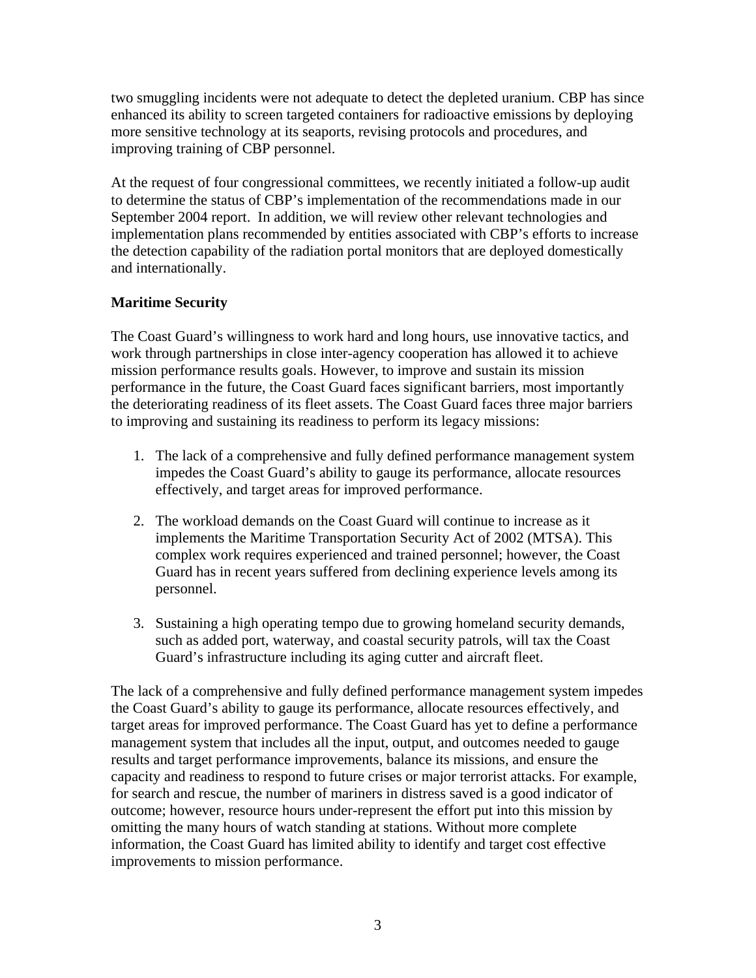two smuggling incidents were not adequate to detect the depleted uranium. CBP has since enhanced its ability to screen targeted containers for radioactive emissions by deploying more sensitive technology at its seaports, revising protocols and procedures, and improving training of CBP personnel.

At the request of four congressional committees, we recently initiated a follow-up audit to determine the status of CBP's implementation of the recommendations made in our September 2004 report. In addition, we will review other relevant technologies and implementation plans recommended by entities associated with CBP's efforts to increase the detection capability of the radiation portal monitors that are deployed domestically and internationally.

### **Maritime Security**

The Coast Guard's willingness to work hard and long hours, use innovative tactics, and work through partnerships in close inter-agency cooperation has allowed it to achieve mission performance results goals. However, to improve and sustain its mission performance in the future, the Coast Guard faces significant barriers, most importantly the deteriorating readiness of its fleet assets. The Coast Guard faces three major barriers to improving and sustaining its readiness to perform its legacy missions:

- 1. The lack of a comprehensive and fully defined performance management system impedes the Coast Guard's ability to gauge its performance, allocate resources effectively, and target areas for improved performance.
- 2. The workload demands on the Coast Guard will continue to increase as it implements the Maritime Transportation Security Act of 2002 (MTSA). This complex work requires experienced and trained personnel; however, the Coast Guard has in recent years suffered from declining experience levels among its personnel.
- 3. Sustaining a high operating tempo due to growing homeland security demands, such as added port, waterway, and coastal security patrols, will tax the Coast Guard's infrastructure including its aging cutter and aircraft fleet.

The lack of a comprehensive and fully defined performance management system impedes the Coast Guard's ability to gauge its performance, allocate resources effectively, and target areas for improved performance. The Coast Guard has yet to define a performance management system that includes all the input, output, and outcomes needed to gauge results and target performance improvements, balance its missions, and ensure the capacity and readiness to respond to future crises or major terrorist attacks. For example, for search and rescue, the number of mariners in distress saved is a good indicator of outcome; however, resource hours under-represent the effort put into this mission by omitting the many hours of watch standing at stations. Without more complete information, the Coast Guard has limited ability to identify and target cost effective improvements to mission performance.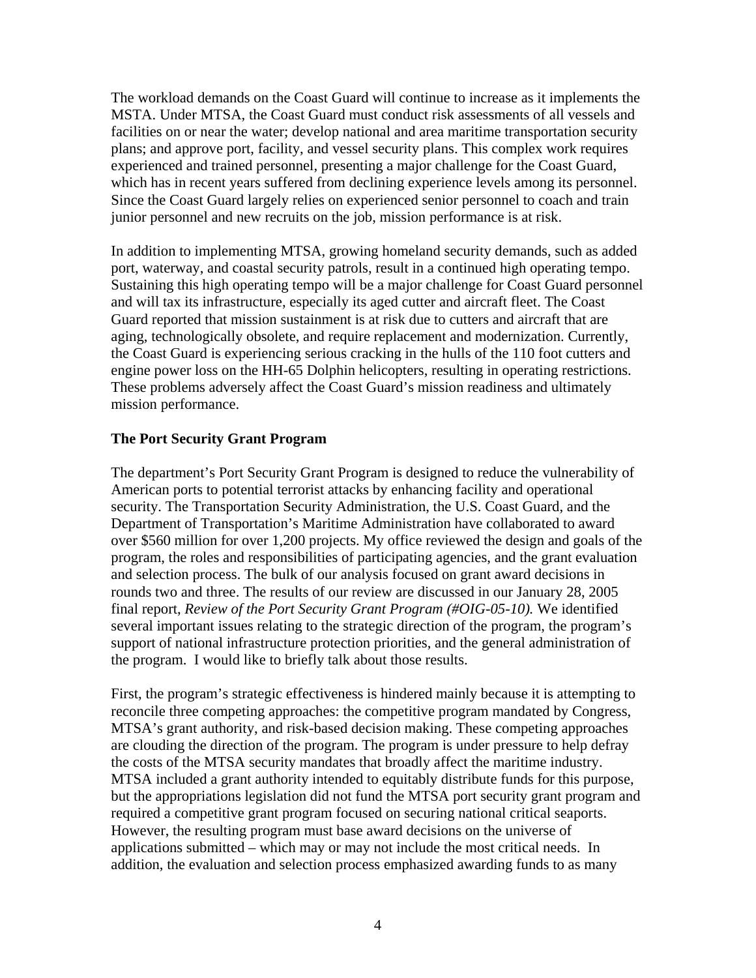The workload demands on the Coast Guard will continue to increase as it implements the MSTA. Under MTSA, the Coast Guard must conduct risk assessments of all vessels and facilities on or near the water; develop national and area maritime transportation security plans; and approve port, facility, and vessel security plans. This complex work requires experienced and trained personnel, presenting a major challenge for the Coast Guard, which has in recent years suffered from declining experience levels among its personnel. Since the Coast Guard largely relies on experienced senior personnel to coach and train junior personnel and new recruits on the job, mission performance is at risk.

In addition to implementing MTSA, growing homeland security demands, such as added port, waterway, and coastal security patrols, result in a continued high operating tempo. Sustaining this high operating tempo will be a major challenge for Coast Guard personnel and will tax its infrastructure, especially its aged cutter and aircraft fleet. The Coast Guard reported that mission sustainment is at risk due to cutters and aircraft that are aging, technologically obsolete, and require replacement and modernization. Currently, the Coast Guard is experiencing serious cracking in the hulls of the 110 foot cutters and engine power loss on the HH-65 Dolphin helicopters, resulting in operating restrictions. These problems adversely affect the Coast Guard's mission readiness and ultimately mission performance.

#### **The Port Security Grant Program**

The department's Port Security Grant Program is designed to reduce the vulnerability of American ports to potential terrorist attacks by enhancing facility and operational security. The Transportation Security Administration, the U.S. Coast Guard, and the Department of Transportation's Maritime Administration have collaborated to award over \$560 million for over 1,200 projects. My office reviewed the design and goals of the program, the roles and responsibilities of participating agencies, and the grant evaluation and selection process. The bulk of our analysis focused on grant award decisions in rounds two and three. The results of our review are discussed in our January 28, 2005 final report, *Review of the Port Security Grant Program (#OIG-05-10).* We identified several important issues relating to the strategic direction of the program, the program's support of national infrastructure protection priorities, and the general administration of the program. I would like to briefly talk about those results.

First, the program's strategic effectiveness is hindered mainly because it is attempting to reconcile three competing approaches: the competitive program mandated by Congress, MTSA's grant authority, and risk-based decision making. These competing approaches are clouding the direction of the program. The program is under pressure to help defray the costs of the MTSA security mandates that broadly affect the maritime industry. MTSA included a grant authority intended to equitably distribute funds for this purpose, but the appropriations legislation did not fund the MTSA port security grant program and required a competitive grant program focused on securing national critical seaports. However, the resulting program must base award decisions on the universe of applications submitted – which may or may not include the most critical needs. In addition, the evaluation and selection process emphasized awarding funds to as many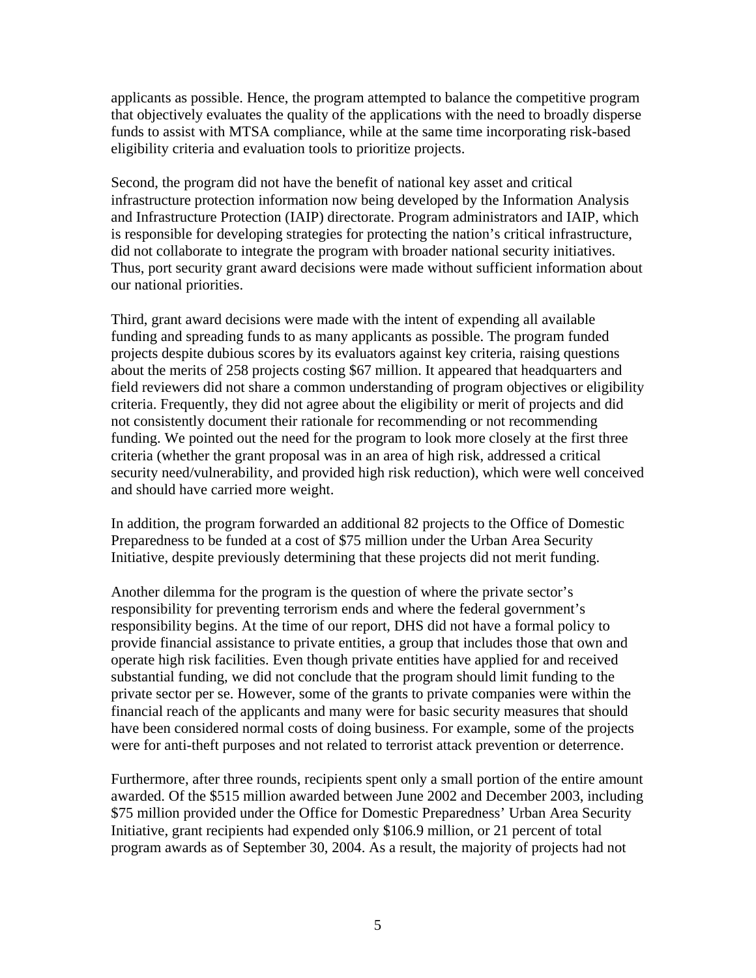applicants as possible. Hence, the program attempted to balance the competitive program that objectively evaluates the quality of the applications with the need to broadly disperse funds to assist with MTSA compliance, while at the same time incorporating risk-based eligibility criteria and evaluation tools to prioritize projects.

Second, the program did not have the benefit of national key asset and critical infrastructure protection information now being developed by the Information Analysis and Infrastructure Protection (IAIP) directorate. Program administrators and IAIP, which is responsible for developing strategies for protecting the nation's critical infrastructure, did not collaborate to integrate the program with broader national security initiatives. Thus, port security grant award decisions were made without sufficient information about our national priorities.

Third, grant award decisions were made with the intent of expending all available funding and spreading funds to as many applicants as possible. The program funded projects despite dubious scores by its evaluators against key criteria, raising questions about the merits of 258 projects costing \$67 million. It appeared that headquarters and field reviewers did not share a common understanding of program objectives or eligibility criteria. Frequently, they did not agree about the eligibility or merit of projects and did not consistently document their rationale for recommending or not recommending funding. We pointed out the need for the program to look more closely at the first three criteria (whether the grant proposal was in an area of high risk, addressed a critical security need/vulnerability, and provided high risk reduction), which were well conceived and should have carried more weight.

In addition, the program forwarded an additional 82 projects to the Office of Domestic Preparedness to be funded at a cost of \$75 million under the Urban Area Security Initiative, despite previously determining that these projects did not merit funding.

Another dilemma for the program is the question of where the private sector's responsibility for preventing terrorism ends and where the federal government's responsibility begins. At the time of our report, DHS did not have a formal policy to provide financial assistance to private entities, a group that includes those that own and operate high risk facilities. Even though private entities have applied for and received substantial funding, we did not conclude that the program should limit funding to the private sector per se. However, some of the grants to private companies were within the financial reach of the applicants and many were for basic security measures that should have been considered normal costs of doing business. For example, some of the projects were for anti-theft purposes and not related to terrorist attack prevention or deterrence.

Furthermore, after three rounds, recipients spent only a small portion of the entire amount awarded. Of the \$515 million awarded between June 2002 and December 2003, including \$75 million provided under the Office for Domestic Preparedness' Urban Area Security Initiative, grant recipients had expended only \$106.9 million, or 21 percent of total program awards as of September 30, 2004. As a result, the majority of projects had not